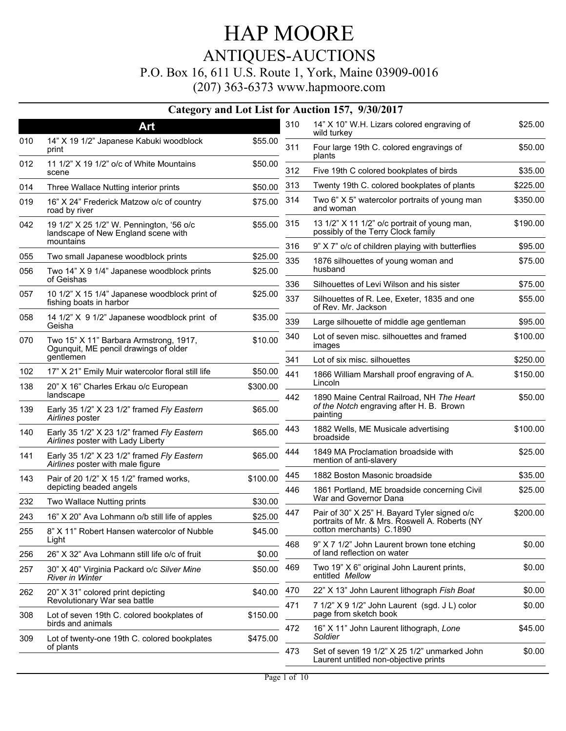|     |                                                                                 |          |     | Category and Lot List for Auction 157, 9/30/2017                                               |          |
|-----|---------------------------------------------------------------------------------|----------|-----|------------------------------------------------------------------------------------------------|----------|
|     | Art                                                                             |          | 310 | 14" X 10" W.H. Lizars colored engraving of<br>wild turkey                                      | \$25.00  |
| 010 | 14" X 19 1/2" Japanese Kabuki woodblock<br>print                                | \$55.00  | 311 | Four large 19th C. colored engravings of<br>plants                                             | \$50.00  |
| 012 | 11 1/2" X 19 1/2" o/c of White Mountains<br>scene                               | \$50.00  | 312 | Five 19th C colored bookplates of birds                                                        | \$35.00  |
| 014 | Three Wallace Nutting interior prints                                           | \$50.00  | 313 | Twenty 19th C. colored bookplates of plants                                                    | \$225.00 |
| 019 | 16" X 24" Frederick Matzow o/c of country<br>road by river                      | \$75.00  | 314 | Two 6" X 5" watercolor portraits of young man<br>and woman                                     | \$350.00 |
| 042 | 19 1/2" X 25 1/2" W. Pennington, '56 o/c<br>landscape of New England scene with | \$55.00  | 315 | 13 1/2" X 11 1/2" o/c portrait of young man,<br>possibly of the Terry Clock family             | \$190.00 |
|     | mountains                                                                       |          | 316 | 9" X 7" o/c of children playing with butterflies                                               | \$95.00  |
| 055 | Two small Japanese woodblock prints                                             | \$25.00  | 335 | 1876 silhouettes of young woman and                                                            | \$75.00  |
| 056 | Two 14" X 9 1/4" Japanese woodblock prints<br>of Geishas                        | \$25.00  |     | husband                                                                                        |          |
| 057 | 10 1/2" X 15 1/4" Japanese woodblock print of                                   | \$25.00  | 336 | Silhouettes of Levi Wilson and his sister                                                      | \$75.00  |
|     | fishing boats in harbor                                                         |          | 337 | Silhouettes of R. Lee, Exeter, 1835 and one<br>of Rev. Mr. Jackson                             | \$55.00  |
| 058 | 14 1/2" X 9 1/2" Japanese woodblock print of<br>Geisha                          | \$35.00  | 339 | Large silhouette of middle age gentleman                                                       | \$95.00  |
| 070 | Two 15" X 11" Barbara Armstrong, 1917,<br>Ogunquit, ME pencil drawings of older | \$10.00  | 340 | Lot of seven misc. silhouettes and framed<br>images                                            | \$100.00 |
|     | gentlemen                                                                       |          | 341 | Lot of six misc. silhouettes                                                                   | \$250.00 |
| 102 | 17" X 21" Emily Muir watercolor floral still life                               | \$50.00  | 441 | 1866 William Marshall proof engraving of A.                                                    | \$150.00 |
| 138 | 20" X 16" Charles Erkau o/c European<br>landscape                               | \$300.00 | 442 | Lincoln<br>1890 Maine Central Railroad, NH The Heart                                           | \$50.00  |
| 139 | Early 35 1/2" X 23 1/2" framed Fly Eastern<br>Airlines poster                   | \$65.00  |     | of the Notch engraving after H. B. Brown<br>painting                                           |          |
| 140 | Early 35 1/2" X 23 1/2" framed Fly Eastern<br>Airlines poster with Lady Liberty | \$65.00  | 443 | 1882 Wells, ME Musicale advertising<br>broadside                                               | \$100.00 |
| 141 | Early 35 1/2" X 23 1/2" framed Fly Eastern<br>Airlines poster with male figure  | \$65.00  | 444 | 1849 MA Proclamation broadside with<br>mention of anti-slavery                                 | \$25.00  |
| 143 | Pair of 20 1/2" X 15 1/2" framed works,                                         | \$100.00 | 445 | 1882 Boston Masonic broadside                                                                  | \$35.00  |
|     | depicting beaded angels                                                         |          | 446 | 1861 Portland, ME broadside concerning Civil                                                   | \$25.00  |
| 232 | Two Wallace Nutting prints                                                      | \$30.00  |     | War and Governor Dana                                                                          |          |
| 243 | 16" X 20" Ava Lohmann o/b still life of apples                                  | \$25.00  | 447 | Pair of 30" X 25" H. Bayard Tyler signed o/c<br>portraits of Mr. & Mrs. Roswell A. Roberts (NY | \$200.00 |
| 255 | 8" X 11" Robert Hansen watercolor of Nubble<br>Light                            | \$45.00  | 468 | cotton merchants) C.1890<br>9" X 7 1/2" John Laurent brown tone etching                        | \$0.00   |
| 256 | 26" X 32" Ava Lohmann still life o/c of fruit                                   | \$0.00   |     | of land reflection on water                                                                    |          |
| 257 | 30" X 40" Virginia Packard o/c Silver Mine<br><b>River in Winter</b>            | \$50.00  | 469 | Two 19" X 6" original John Laurent prints,<br>entitled Mellow                                  | \$0.00   |
| 262 | 20" X 31" colored print depicting                                               | \$40.00  | 470 | 22" X 13" John Laurent lithograph Fish Boat                                                    | \$0.00   |
|     | Revolutionary War sea battle                                                    |          | 471 | 7 1/2" X 9 1/2" John Laurent (sgd. J L) color<br>page from sketch book                         | \$0.00   |
| 308 | Lot of seven 19th C. colored bookplates of<br>birds and animals                 | \$150.00 | 472 | 16" X 11" John Laurent lithograph, Lone                                                        | \$45.00  |
| 309 | Lot of twenty-one 19th C. colored bookplates<br>of plants                       | \$475.00 | 473 | Soldier<br>Set of seven 19 1/2" X 25 1/2" unmarked John                                        | \$0.00   |
|     |                                                                                 |          |     | Laurent untitled non-objective prints                                                          |          |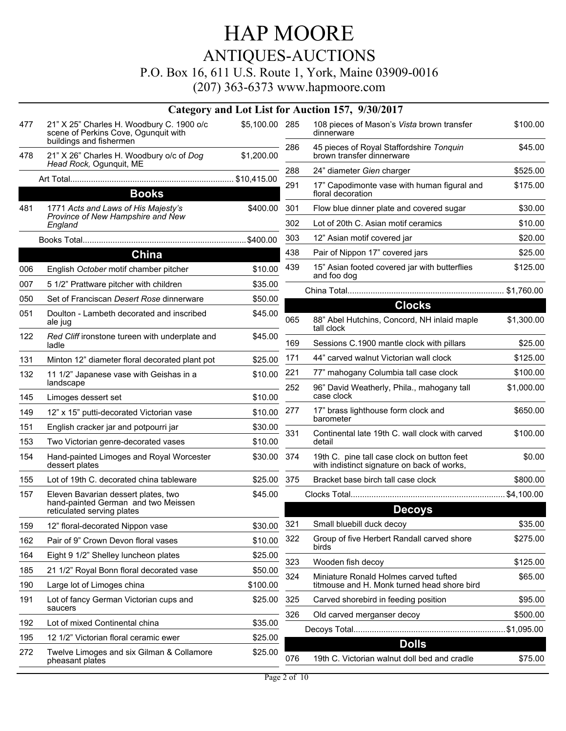# HAP MOORE ANTIQUES-AUCTIONS

#### P.O. Box 16, 611 U.S. Route 1, York, Maine 03909-0016

|     |                                                                                                              |                |     | Category and Lot List for Auction 157, 9/30/2017                                           |            |
|-----|--------------------------------------------------------------------------------------------------------------|----------------|-----|--------------------------------------------------------------------------------------------|------------|
| 477 | 21" X 25" Charles H. Woodbury C. 1900 o/c<br>scene of Perkins Cove, Ogunquit with<br>buildings and fishermen | \$5,100.00 285 |     | 108 pieces of Mason's Vista brown transfer<br>dinnerware                                   | \$100.00   |
| 478 | 21" X 26" Charles H. Woodbury o/c of Dog                                                                     | \$1,200.00     | 286 | 45 pieces of Royal Staffordshire Tonquin<br>brown transfer dinnerware                      | \$45.00    |
|     | Head Rock, Ogunguit, ME                                                                                      |                | 288 | 24" diameter Gien charger                                                                  | \$525.00   |
|     | <b>Books</b>                                                                                                 |                | 291 | 17" Capodimonte vase with human figural and<br>floral decoration                           | \$175.00   |
| 481 | 1771 Acts and Laws of His Majesty's                                                                          | \$400.00       | 301 | Flow blue dinner plate and covered sugar                                                   | \$30.00    |
|     | Province of New Hampshire and New<br>England                                                                 |                | 302 | Lot of 20th C. Asian motif ceramics                                                        | \$10.00    |
|     |                                                                                                              |                | 303 | 12" Asian motif covered jar                                                                | \$20.00    |
|     | China                                                                                                        |                | 438 | Pair of Nippon 17" covered jars                                                            | \$25.00    |
| 006 | English October motif chamber pitcher                                                                        | \$10.00        | 439 | 15" Asian footed covered jar with butterflies<br>and foo dog                               | \$125.00   |
| 007 | 5 1/2" Prattware pitcher with children                                                                       | \$35.00        |     |                                                                                            |            |
| 050 | Set of Franciscan Desert Rose dinnerware                                                                     | \$50.00        |     | <b>Clocks</b>                                                                              |            |
| 051 | Doulton - Lambeth decorated and inscribed<br>ale jug                                                         | \$45.00        | 065 | 88" Abel Hutchins, Concord, NH inlaid maple<br>tall clock                                  | \$1,300.00 |
| 122 | Red Cliff ironstone tureen with underplate and<br>ladle                                                      | \$45.00        | 169 | Sessions C.1900 mantle clock with pillars                                                  | \$25.00    |
| 131 | Minton 12" diameter floral decorated plant pot                                                               | \$25.00        | 171 | 44" carved walnut Victorian wall clock                                                     | \$125.00   |
| 132 | 11 1/2" Japanese vase with Geishas in a<br>landscape                                                         | \$10.00        | 221 | 77" mahogany Columbia tall case clock                                                      | \$100.00   |
| 145 | Limoges dessert set                                                                                          | \$10.00        | 252 | 96" David Weatherly, Phila., mahogany tall<br>case clock                                   | \$1,000.00 |
| 149 | 12" x 15" putti-decorated Victorian vase                                                                     | \$10.00        | 277 | 17" brass lighthouse form clock and                                                        | \$650.00   |
| 151 | English cracker jar and potpourri jar                                                                        | \$30.00        |     | barometer                                                                                  |            |
| 153 | Two Victorian genre-decorated vases                                                                          | \$10.00        | 331 | Continental late 19th C. wall clock with carved<br>detail                                  | \$100.00   |
| 154 | Hand-painted Limoges and Royal Worcester<br>dessert plates                                                   | \$30.00        | 374 | 19th C. pine tall case clock on button feet<br>with indistinct signature on back of works, | \$0.00     |
| 155 | Lot of 19th C. decorated china tableware                                                                     | \$25.00        | 375 | Bracket base birch tall case clock                                                         | \$800.00   |
| 157 | Eleven Bavarian dessert plates, two                                                                          | \$45.00        |     |                                                                                            |            |
|     | hand-painted German and two Meissen<br>reticulated serving plates                                            |                |     | <b>Decoys</b>                                                                              |            |
| 159 | 12" floral-decorated Nippon vase                                                                             | \$30.00        | 321 | Small bluebill duck decoy                                                                  | \$35.00    |
| 162 | Pair of 9" Crown Devon floral vases                                                                          | \$10.00        | 322 | Group of five Herbert Randall carved shore                                                 | \$275.00   |
| 164 | Eight 9 1/2" Shelley luncheon plates                                                                         | \$25.00        |     | birds                                                                                      |            |
| 185 | 21 1/2" Royal Bonn floral decorated vase                                                                     | \$50.00        | 323 | Wooden fish decoy                                                                          | \$125.00   |
| 190 | Large lot of Limoges china                                                                                   | \$100.00       | 324 | Miniature Ronald Holmes carved tufted<br>titmouse and H. Monk turned head shore bird       | \$65.00    |
| 191 | Lot of fancy German Victorian cups and<br>saucers                                                            | \$25.00        | 325 | Carved shorebird in feeding position                                                       | \$95.00    |
| 192 | Lot of mixed Continental china                                                                               | \$35.00        | 326 | Old carved merganser decoy                                                                 | \$500.00   |
| 195 | 12 1/2" Victorian floral ceramic ewer                                                                        | \$25.00        |     |                                                                                            | \$1,095.00 |
| 272 | Twelve Limoges and six Gilman & Collamore                                                                    | \$25.00        |     | <b>Dolls</b>                                                                               |            |
|     | pheasant plates                                                                                              |                | 076 | 19th C. Victorian walnut doll bed and cradle                                               | \$75.00    |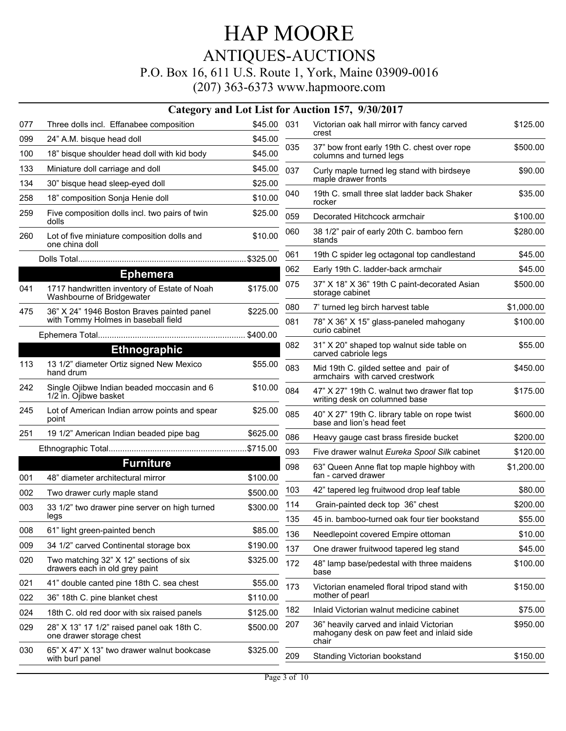|     |                                                                               |             |     | Category and Lot List for Auction 157, 9/30/2017                                              |            |
|-----|-------------------------------------------------------------------------------|-------------|-----|-----------------------------------------------------------------------------------------------|------------|
| 077 | Three dolls incl. Effanabee composition                                       | \$45.00 031 |     | Victorian oak hall mirror with fancy carved                                                   | \$125.00   |
| 099 | 24" A.M. bisque head doll                                                     | \$45.00     |     | crest                                                                                         |            |
| 100 | 18" bisque shoulder head doll with kid body                                   | \$45.00     | 035 | 37" bow front early 19th C. chest over rope<br>columns and turned legs                        | \$500.00   |
| 133 | Miniature doll carriage and doll                                              | \$45.00     | 037 | Curly maple turned leg stand with birdseye                                                    | \$90.00    |
| 134 | 30" bisque head sleep-eyed doll                                               | \$25.00     |     | maple drawer fronts                                                                           |            |
| 258 | 18" composition Sonja Henie doll                                              | \$10.00     | 040 | 19th C. small three slat ladder back Shaker<br>rocker                                         | \$35.00    |
| 259 | Five composition dolls incl. two pairs of twin<br>dolls                       | \$25.00     | 059 | Decorated Hitchcock armchair                                                                  | \$100.00   |
| 260 | Lot of five miniature composition dolls and<br>one china doll                 | \$10.00     | 060 | 38 1/2" pair of early 20th C. bamboo fern<br>stands                                           | \$280.00   |
|     |                                                                               | \$325.00    | 061 | 19th C spider leg octagonal top candlestand                                                   | \$45.00    |
|     | <b>Ephemera</b>                                                               |             | 062 | Early 19th C. ladder-back armchair                                                            | \$45.00    |
| 041 | 1717 handwritten inventory of Estate of Noah<br>Washbourne of Bridgewater     | \$175.00    | 075 | 37" X 18" X 36" 19th C paint-decorated Asian<br>storage cabinet                               | \$500.00   |
| 475 | 36" X 24" 1946 Boston Braves painted panel                                    | \$225.00    | 080 | 7' turned leg birch harvest table                                                             | \$1,000.00 |
|     | with Tommy Holmes in baseball field                                           |             | 081 | 78" X 36" X 15" glass-paneled mahogany<br>curio cabinet                                       | \$100.00   |
|     | <b>Ethnographic</b>                                                           |             | 082 | 31" X 20" shaped top walnut side table on                                                     | \$55.00    |
| 113 | 13 1/2" diameter Ortiz signed New Mexico                                      | \$55.00     |     | carved cabriole legs                                                                          |            |
|     | hand drum                                                                     |             | 083 | Mid 19th C. gilded settee and pair of<br>armchairs with carved crestwork                      | \$450.00   |
| 242 | Single Ojibwe Indian beaded moccasin and 6<br>1/2 in. Ojibwe basket           | \$10.00     | 084 | 47" X 27" 19th C. walnut two drawer flat top<br>writing desk on columned base                 | \$175.00   |
| 245 | Lot of American Indian arrow points and spear<br>point                        | \$25.00     | 085 | 40" X 27" 19th C. library table on rope twist<br>base and lion's head feet                    | \$600.00   |
| 251 | 19 1/2" American Indian beaded pipe bag                                       | \$625.00    | 086 | Heavy gauge cast brass fireside bucket                                                        | \$200.00   |
|     |                                                                               |             | 093 | Five drawer walnut Eureka Spool Silk cabinet                                                  | \$120.00   |
| 001 | <b>Furniture</b><br>48" diameter architectural mirror                         | \$100.00    | 098 | 63" Queen Anne flat top maple highboy with<br>fan - carved drawer                             | \$1,200.00 |
| 002 |                                                                               | \$500.00    | 103 | 42" tapered leg fruitwood drop leaf table                                                     | \$80.00    |
| 003 | Two drawer curly maple stand<br>33 1/2" two drawer pine server on high turned | \$300.00    | 114 | Grain-painted deck top 36" chest                                                              | \$200.00   |
|     | legs                                                                          |             | 135 | 45 in. bamboo-turned oak four tier bookstand                                                  | \$55.00    |
| 008 | 61" light green-painted bench                                                 | \$85.00     | 136 | Needlepoint covered Empire ottoman                                                            | \$10.00    |
| 009 | 34 1/2" carved Continental storage box                                        | \$190.00    | 137 | One drawer fruitwood tapered leg stand                                                        | \$45.00    |
| 020 | Two matching 32" X 12" sections of six<br>drawers each in old grey paint      | \$325.00    | 172 | 48" lamp base/pedestal with three maidens<br>base                                             | \$100.00   |
| 021 | 41" double canted pine 18th C. sea chest                                      | \$55.00     | 173 | Victorian enameled floral tripod stand with                                                   | \$150.00   |
| 022 | 36" 18th C. pine blanket chest                                                | \$110.00    |     | mother of pearl                                                                               |            |
| 024 | 18th C. old red door with six raised panels                                   | \$125.00    | 182 | Inlaid Victorian walnut medicine cabinet                                                      | \$75.00    |
| 029 | 28" X 13" 17 1/2" raised panel oak 18th C.<br>one drawer storage chest        | \$500.00    | 207 | 36" heavily carved and inlaid Victorian<br>mahogany desk on paw feet and inlaid side<br>chair | \$950.00   |
| 030 | 65" X 47" X 13" two drawer walnut bookcase<br>with burl panel                 | \$325.00    | 209 | Standing Victorian bookstand                                                                  | \$150.00   |
|     |                                                                               |             |     |                                                                                               |            |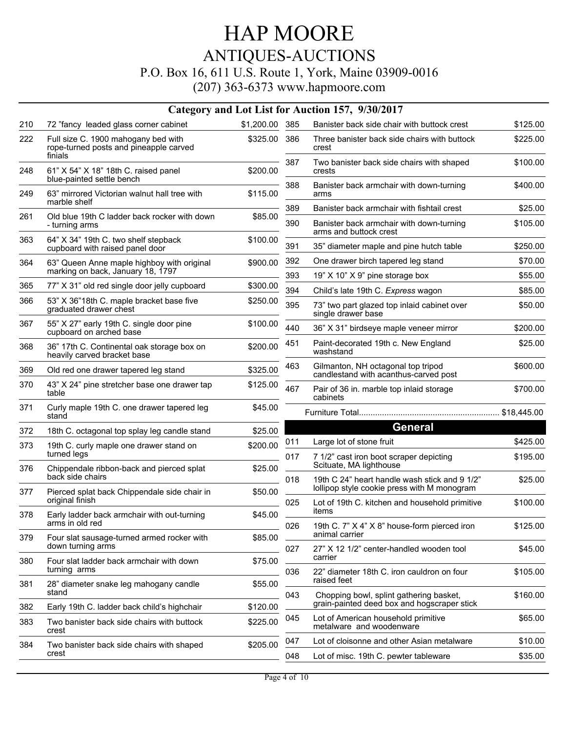|     |                                                                                          |            |     | Category and Lot List for Auction 157, 9/30/2017                                             |          |
|-----|------------------------------------------------------------------------------------------|------------|-----|----------------------------------------------------------------------------------------------|----------|
| 210 | 72 "fancy leaded glass corner cabinet                                                    | \$1,200.00 | 385 | Banister back side chair with buttock crest                                                  | \$125.00 |
| 222 | Full size C. 1900 mahogany bed with<br>rope-turned posts and pineapple carved<br>finials | \$325.00   | 386 | Three banister back side chairs with buttock<br>crest                                        | \$225.00 |
| 248 | 61" X 54" X 18" 18th C. raised panel<br>blue-painted settle bench                        | \$200.00   | 387 | Two banister back side chairs with shaped<br>crests                                          | \$100.00 |
| 249 | 63" mirrored Victorian walnut hall tree with<br>marble shelf                             | \$115.00   | 388 | Banister back armchair with down-turning<br>arms                                             | \$400.00 |
| 261 | Old blue 19th C ladder back rocker with down                                             | \$85.00    | 389 | Banister back armchair with fishtail crest                                                   | \$25.00  |
|     | - turning arms                                                                           |            | 390 | Banister back armchair with down-turning<br>arms and buttock crest                           | \$105.00 |
| 363 | 64" X 34" 19th C. two shelf stepback<br>cupboard with raised panel door                  | \$100.00   | 391 | 35" diameter maple and pine hutch table                                                      | \$250.00 |
| 364 | 63" Queen Anne maple highboy with original                                               | \$900.00   | 392 | One drawer birch tapered leg stand                                                           | \$70.00  |
|     | marking on back, January 18, 1797                                                        |            | 393 | 19" X 10" X 9" pine storage box                                                              | \$55.00  |
| 365 | 77" X 31" old red single door jelly cupboard                                             | \$300.00   | 394 | Child's late 19th C. Express wagon                                                           | \$85.00  |
| 366 | 53" X 36"18th C. maple bracket base five<br>graduated drawer chest                       | \$250.00   | 395 | 73" two part glazed top inlaid cabinet over<br>single drawer base                            | \$50.00  |
| 367 | 55" X 27" early 19th C. single door pine<br>cupboard on arched base                      | \$100.00   | 440 | 36" X 31" birdseye maple veneer mirror                                                       | \$200.00 |
| 368 | 36" 17th C. Continental oak storage box on<br>heavily carved bracket base                | \$200.00   | 451 | Paint-decorated 19th c. New England<br>washstand                                             | \$25.00  |
| 369 | Old red one drawer tapered leg stand                                                     | \$325.00   | 463 | Gilmanton, NH octagonal top tripod<br>candlestand with acanthus-carved post                  | \$600.00 |
| 370 | 43" X 24" pine stretcher base one drawer tap<br>table                                    | \$125.00   | 467 | Pair of 36 in. marble top inlaid storage<br>cabinets                                         | \$700.00 |
| 371 | Curly maple 19th C. one drawer tapered leg<br>stand                                      | \$45.00    |     |                                                                                              |          |
| 372 | 18th C. octagonal top splay leg candle stand                                             | \$25.00    |     | <b>General</b>                                                                               |          |
| 373 | 19th C. curly maple one drawer stand on                                                  | \$200.00   | 011 | Large lot of stone fruit                                                                     | \$425.00 |
| 376 | turned legs<br>Chippendale ribbon-back and pierced splat                                 | \$25.00    | 017 | 7 1/2" cast iron boot scraper depicting<br>Scituate, MA lighthouse                           | \$195.00 |
| 377 | back side chairs<br>Pierced splat back Chippendale side chair in                         | \$50.00    | 018 | 19th C 24" heart handle wash stick and 9 1/2"<br>lollipop style cookie press with M monogram | \$25.00  |
| 378 | original finish<br>Early ladder back armchair with out-turning                           | \$45.00    | 025 | Lot of 19th C. kitchen and household primitive<br>items                                      | \$100.00 |
|     | arms in old red                                                                          |            | 026 | 19th C. 7" X 4" X 8" house-form pierced iron                                                 | \$125.00 |
| 379 | Four slat sausage-turned armed rocker with<br>down turning arms                          | \$85.00    | 027 | animal carrier<br>27" X 12 1/2" center-handled wooden tool                                   | \$45.00  |
| 380 | Four slat ladder back armchair with down<br>turning arms                                 | \$75.00    | 036 | carrier<br>22" diameter 18th C. iron cauldron on four                                        | \$105.00 |
| 381 | 28" diameter snake leg mahogany candle<br>stand                                          | \$55.00    |     | raised feet                                                                                  |          |
| 382 | Early 19th C. ladder back child's highchair                                              | \$120.00   | 043 | Chopping bowl, splint gathering basket,<br>grain-painted deed box and hogscraper stick       | \$160.00 |
| 383 | Two banister back side chairs with buttock<br>crest                                      | \$225.00   | 045 | Lot of American household primitive<br>metalware and woodenware                              | \$65.00  |
| 384 |                                                                                          | \$205.00   | 047 | Lot of cloisonne and other Asian metalware                                                   | \$10.00  |
|     | Two banister back side chairs with shaped<br>crest                                       |            | 048 | Lot of misc. 19th C. pewter tableware                                                        | \$35.00  |
|     |                                                                                          |            |     |                                                                                              |          |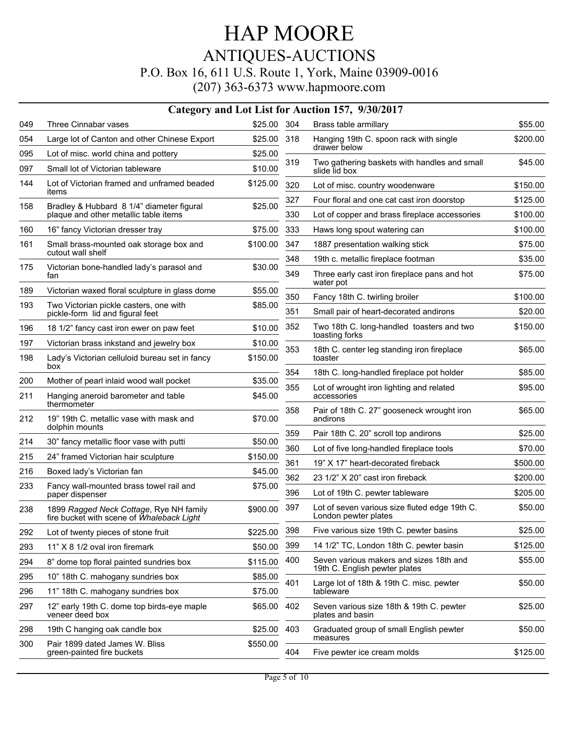|  | $(207)$ 363-6373 www.hapmoore.com |
|--|-----------------------------------|
|--|-----------------------------------|

|     | Category and Lot List for Auction 157, 9/30/2017                                     |             |     |                                                                       |          |  |  |
|-----|--------------------------------------------------------------------------------------|-------------|-----|-----------------------------------------------------------------------|----------|--|--|
| 049 | Three Cinnabar vases                                                                 | \$25.00 304 |     | Brass table armillary                                                 | \$55.00  |  |  |
| 054 | Large lot of Canton and other Chinese Export                                         | \$25.00     | 318 | Hanging 19th C. spoon rack with single                                | \$200.00 |  |  |
| 095 | Lot of misc. world china and pottery                                                 | \$25.00     |     | drawer below                                                          |          |  |  |
| 097 | Small lot of Victorian tableware                                                     | \$10.00     | 319 | Two gathering baskets with handles and small<br>slide lid box         | \$45.00  |  |  |
| 144 | Lot of Victorian framed and unframed beaded<br>items                                 | \$125.00    | 320 | Lot of misc. country woodenware                                       | \$150.00 |  |  |
|     |                                                                                      |             | 327 | Four floral and one cat cast iron doorstop                            | \$125.00 |  |  |
| 158 | Bradley & Hubbard 8 1/4" diameter figural<br>plaque and other metallic table items   | \$25.00     | 330 | Lot of copper and brass fireplace accessories                         | \$100.00 |  |  |
| 160 | 16" fancy Victorian dresser tray                                                     | \$75.00     | 333 | Haws long spout watering can                                          | \$100.00 |  |  |
| 161 | Small brass-mounted oak storage box and<br>cutout wall shelf                         | \$100.00    | 347 | 1887 presentation walking stick                                       | \$75.00  |  |  |
| 175 | Victorian bone-handled lady's parasol and                                            | \$30.00     | 348 | 19th c. metallic fireplace footman                                    | \$35.00  |  |  |
|     | fan                                                                                  |             | 349 | Three early cast iron fireplace pans and hot<br>water pot             | \$75.00  |  |  |
| 189 | Victorian waxed floral sculpture in glass dome                                       | \$55.00     | 350 | Fancy 18th C. twirling broiler                                        | \$100.00 |  |  |
| 193 | Two Victorian pickle casters, one with<br>pickle-form lid and figural feet           | \$85.00     | 351 | Small pair of heart-decorated andirons                                | \$20.00  |  |  |
| 196 | 18 1/2" fancy cast iron ewer on paw feet                                             | \$10.00     | 352 | Two 18th C. long-handled toasters and two                             | \$150.00 |  |  |
| 197 | Victorian brass inkstand and jewelry box                                             | \$10.00     |     | toasting forks                                                        |          |  |  |
| 198 | Lady's Victorian celluloid bureau set in fancy<br>box                                | \$150.00    | 353 | 18th C. center leg standing iron fireplace<br>toaster                 | \$65.00  |  |  |
| 200 | Mother of pearl inlaid wood wall pocket                                              | \$35.00     | 354 | 18th C. long-handled fireplace pot holder                             | \$85.00  |  |  |
| 211 | Hanging aneroid barometer and table<br>thermometer                                   | \$45.00     | 355 | Lot of wrought iron lighting and related<br>accessories               | \$95.00  |  |  |
| 212 | 19" 19th C. metallic vase with mask and<br>dolphin mounts                            | \$70.00     | 358 | Pair of 18th C. 27" gooseneck wrought iron<br>andirons                | \$65.00  |  |  |
| 214 | 30" fancy metallic floor vase with putti                                             | \$50.00     | 359 | Pair 18th C. 20" scroll top andirons                                  | \$25.00  |  |  |
|     |                                                                                      |             | 360 | Lot of five long-handled fireplace tools                              | \$70.00  |  |  |
| 215 | 24" framed Victorian hair sculpture                                                  | \$150.00    | 361 | 19" X 17" heart-decorated fireback                                    | \$500.00 |  |  |
| 216 | Boxed lady's Victorian fan                                                           | \$45.00     | 362 | 23 1/2" X 20" cast iron fireback                                      | \$200.00 |  |  |
| 233 | Fancy wall-mounted brass towel rail and<br>paper dispenser                           | \$75.00     | 396 | Lot of 19th C. pewter tableware                                       | \$205.00 |  |  |
| 238 | 1899 Ragged Neck Cottage, Rye NH family<br>fire bucket with scene of Whaleback Light | \$900.00    | 397 | Lot of seven various size fluted edge 19th C.<br>London pewter plates | \$50.00  |  |  |
| 292 | Lot of twenty pieces of stone fruit                                                  | \$225.00    | 398 | Five various size 19th C. pewter basins                               | \$25.00  |  |  |
| 293 | 11" X 8 1/2 oval iron firemark                                                       | \$50.00     | 399 | 14 1/2" TC, London 18th C. pewter basin                               | \$125.00 |  |  |
| 294 | 8" dome top floral painted sundries box                                              | \$115.00    | 400 | Seven various makers and sizes 18th and                               | \$55.00  |  |  |
| 295 | 10" 18th C. mahogany sundries box                                                    | \$85.00     |     | 19th C. English pewter plates                                         |          |  |  |
| 296 | 11" 18th C. mahogany sundries box                                                    | \$75.00     | 401 | Large lot of 18th & 19th C. misc. pewter<br>tableware                 | \$50.00  |  |  |
| 297 | 12" early 19th C. dome top birds-eye maple<br>veneer deed box                        | \$65.00     | 402 | Seven various size 18th & 19th C. pewter<br>plates and basin          | \$25.00  |  |  |
| 298 | 19th C hanging oak candle box                                                        | \$25.00     | 403 | Graduated group of small English pewter                               | \$50.00  |  |  |
| 300 | Pair 1899 dated James W. Bliss<br>green-painted fire buckets                         | \$550.00    | 404 | measures                                                              |          |  |  |
|     |                                                                                      |             |     | Five pewter ice cream molds                                           | \$125.00 |  |  |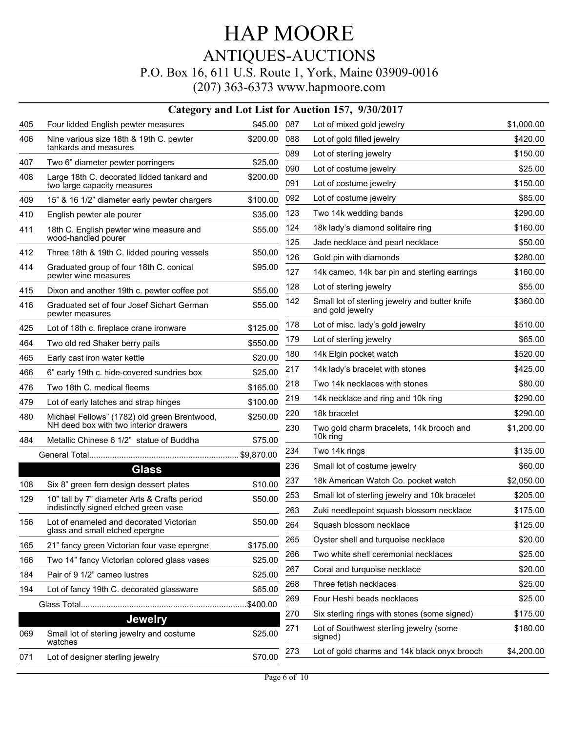|     |                                                                           |            |     | Category and Lot List for Auction 157, 9/30/2017                   |            |
|-----|---------------------------------------------------------------------------|------------|-----|--------------------------------------------------------------------|------------|
| 405 | Four lidded English pewter measures                                       | \$45.00    | 087 | Lot of mixed gold jewelry                                          | \$1,000.00 |
| 406 | Nine various size 18th & 19th C. pewter                                   | \$200.00   | 088 | Lot of gold filled jewelry                                         | \$420.00   |
|     | tankards and measures                                                     |            | 089 | Lot of sterling jewelry                                            | \$150.00   |
| 407 | Two 6" diameter pewter porringers                                         | \$25.00    | 090 | Lot of costume jewelry                                             | \$25.00    |
| 408 | Large 18th C. decorated lidded tankard and<br>two large capacity measures | \$200.00   | 091 | Lot of costume jewelry                                             | \$150.00   |
| 409 | 15" & 16 1/2" diameter early pewter chargers                              | \$100.00   | 092 | Lot of costume jewelry                                             | \$85.00    |
| 410 | English pewter ale pourer                                                 | \$35.00    | 123 | Two 14k wedding bands                                              | \$290.00   |
| 411 | 18th C. English pewter wine measure and                                   | \$55.00    | 124 | 18k lady's diamond solitaire ring                                  | \$160.00   |
|     | wood-handled pourer                                                       |            | 125 | Jade necklace and pearl necklace                                   | \$50.00    |
| 412 | Three 18th & 19th C. lidded pouring vessels                               | \$50.00    | 126 | Gold pin with diamonds                                             | \$280.00   |
| 414 | Graduated group of four 18th C. conical<br>pewter wine measures           | \$95.00    | 127 | 14k cameo, 14k bar pin and sterling earrings                       | \$160.00   |
| 415 | Dixon and another 19th c. pewter coffee pot                               | \$55.00    | 128 | Lot of sterling jewelry                                            | \$55.00    |
| 416 | Graduated set of four Josef Sichart German<br>pewter measures             | \$55.00    | 142 | Small lot of sterling jewelry and butter knife<br>and gold jewelry | \$360.00   |
| 425 | Lot of 18th c. fireplace crane ironware                                   | \$125.00   | 178 | Lot of misc. lady's gold jewelry                                   | \$510.00   |
| 464 | Two old red Shaker berry pails                                            | \$550.00   | 179 | Lot of sterling jewelry                                            | \$65.00    |
| 465 | Early cast iron water kettle                                              | \$20.00    | 180 | 14k Elgin pocket watch                                             | \$520.00   |
| 466 | 6" early 19th c. hide-covered sundries box                                | \$25.00    | 217 | 14k lady's bracelet with stones                                    | \$425.00   |
| 476 | Two 18th C. medical fleems                                                | \$165.00   | 218 | Two 14k necklaces with stones                                      | \$80.00    |
| 479 | Lot of early latches and strap hinges                                     | \$100.00   | 219 | 14k necklace and ring and 10k ring                                 | \$290.00   |
| 480 | Michael Fellows" (1782) old green Brentwood,                              | \$250.00   | 220 | 18k bracelet                                                       | \$290.00   |
|     | NH deed box with two interior drawers                                     |            | 230 | Two gold charm bracelets, 14k brooch and                           | \$1,200.00 |
| 484 | Metallic Chinese 6 1/2" statue of Buddha                                  | \$75.00    |     | 10k ring                                                           |            |
|     |                                                                           | \$9,870.00 | 234 | Two 14k rings                                                      | \$135.00   |
|     | <b>Glass</b>                                                              |            | 236 | Small lot of costume jewelry                                       | \$60.00    |
| 108 | Six 8" green fern design dessert plates                                   | \$10.00    | 237 | 18k American Watch Co. pocket watch                                | \$2,050.00 |
| 129 | 10" tall by 7" diameter Arts & Crafts period                              | \$50.00    | 253 | Small lot of sterling jewelry and 10k bracelet                     | \$205.00   |
|     | indistinctly signed etched green vase                                     |            | 263 | Zuki needlepoint squash blossom necklace                           | \$175.00   |
| 156 | Lot of enameled and decorated Victorian<br>glass and small etched epergne | \$50.00    | 264 | Squash blossom necklace                                            | \$125.00   |
| 165 | 21" fancy green Victorian four vase epergne                               | \$175.00   | 265 | Oyster shell and turquoise necklace                                | \$20.00    |
| 166 | Two 14" fancy Victorian colored glass vases                               | \$25.00    | 266 | Two white shell ceremonial necklaces                               | \$25.00    |
| 184 | Pair of 9 1/2" cameo lustres                                              | \$25.00    | 267 | Coral and turquoise necklace                                       | \$20.00    |
| 194 | Lot of fancy 19th C. decorated glassware                                  | \$65.00    | 268 | Three fetish necklaces                                             | \$25.00    |
|     |                                                                           | \$400.00   | 269 | Four Heshi beads necklaces                                         | \$25.00    |
|     | <b>Jewelry</b>                                                            |            | 270 | Six sterling rings with stones (some signed)                       | \$175.00   |
| 069 | Small lot of sterling jewelry and costume<br>watches                      | \$25.00    | 271 | Lot of Southwest sterling jewelry (some<br>signed)                 | \$180.00   |
| 071 | Lot of designer sterling jewelry                                          | \$70.00    | 273 | Lot of gold charms and 14k black onyx brooch                       | \$4,200.00 |
|     |                                                                           |            |     |                                                                    |            |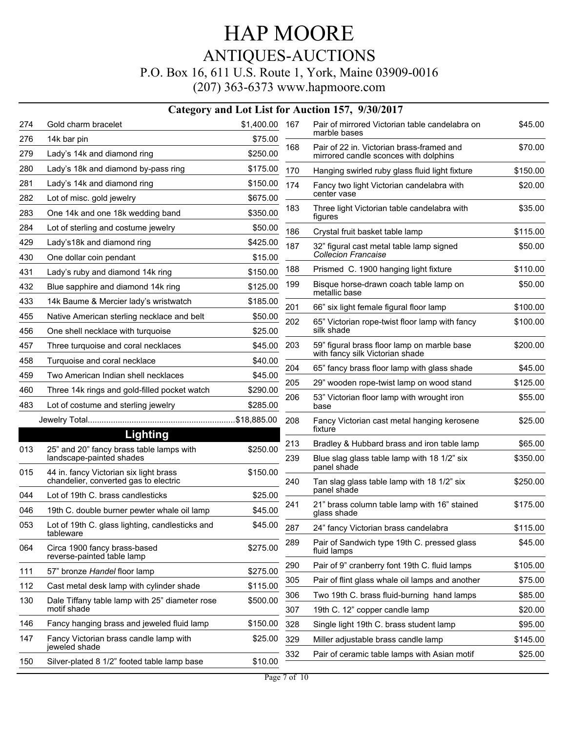|     | Category and Lot List for Auction 157, 9/30/2017                   |                |                                             |                                                                                |          |  |  |  |
|-----|--------------------------------------------------------------------|----------------|---------------------------------------------|--------------------------------------------------------------------------------|----------|--|--|--|
| 274 | Gold charm bracelet                                                | \$1,400.00 167 |                                             | Pair of mirrored Victorian table candelabra on<br>marble bases                 | \$45.00  |  |  |  |
| 276 | 14k bar pin                                                        | \$75.00        |                                             | Pair of 22 in. Victorian brass-framed and                                      |          |  |  |  |
| 279 | Lady's 14k and diamond ring                                        | \$250.00       | 168                                         | mirrored candle sconces with dolphins                                          | \$70.00  |  |  |  |
| 280 | Lady's 18k and diamond by-pass ring                                | \$175.00       | 170                                         | Hanging swirled ruby glass fluid light fixture                                 | \$150.00 |  |  |  |
| 281 | Lady's 14k and diamond ring                                        | \$150.00       | 174                                         | Fancy two light Victorian candelabra with                                      | \$20.00  |  |  |  |
| 282 | Lot of misc. gold jewelry                                          | \$675.00       |                                             | center vase                                                                    |          |  |  |  |
| 283 | One 14k and one 18k wedding band                                   | \$350.00       | 183                                         | Three light Victorian table candelabra with<br>figures                         | \$35.00  |  |  |  |
| 284 | Lot of sterling and costume jewelry                                | \$50.00        | 186                                         | Crystal fruit basket table lamp                                                | \$115.00 |  |  |  |
| 429 | Lady's18k and diamond ring                                         | \$425.00       | 187                                         | 32" figural cast metal table lamp signed                                       | \$50.00  |  |  |  |
| 430 | One dollar coin pendant                                            | \$15.00        |                                             | <b>Collecion Francaise</b>                                                     |          |  |  |  |
| 431 | Lady's ruby and diamond 14k ring                                   | \$150.00       | 188                                         | Prismed C. 1900 hanging light fixture                                          | \$110.00 |  |  |  |
| 432 | Blue sapphire and diamond 14k ring                                 | \$125.00       | 199                                         | Bisque horse-drawn coach table lamp on<br>metallic base                        | \$50.00  |  |  |  |
| 433 | 14k Baume & Mercier lady's wristwatch                              | \$185.00       | 201                                         | 66" six light female figural floor lamp                                        | \$100.00 |  |  |  |
| 455 | Native American sterling necklace and belt                         | \$50.00        | 202                                         | 65" Victorian rope-twist floor lamp with fancy                                 | \$100.00 |  |  |  |
| 456 | One shell necklace with turquoise                                  | \$25.00        |                                             | silk shade                                                                     |          |  |  |  |
| 457 | Three turquoise and coral necklaces                                | \$45.00        | 203                                         | 59" figural brass floor lamp on marble base<br>with fancy silk Victorian shade | \$200.00 |  |  |  |
| 458 | Turquoise and coral necklace                                       | \$40.00        |                                             |                                                                                |          |  |  |  |
| 459 | Two American Indian shell necklaces                                | \$45.00        | 204                                         | 65" fancy brass floor lamp with glass shade                                    | \$45.00  |  |  |  |
| 460 | Three 14k rings and gold-filled pocket watch                       | \$290.00       | 205                                         | 29" wooden rope-twist lamp on wood stand                                       | \$125.00 |  |  |  |
| 483 | Lot of costume and sterling jewelry                                | \$285.00       | 206                                         | 53" Victorian floor lamp with wrought iron<br>base                             | \$55.00  |  |  |  |
|     |                                                                    | 208            | Fancy Victorian cast metal hanging kerosene | \$25.00                                                                        |          |  |  |  |
|     | <b>Lighting</b>                                                    |                |                                             | fixture                                                                        |          |  |  |  |
| 013 | 25" and 20" fancy brass table lamps with                           | \$250.00       | 213                                         | Bradley & Hubbard brass and iron table lamp                                    | \$65.00  |  |  |  |
| 015 | landscape-painted shades<br>44 in. fancy Victorian six light brass | \$150.00       | 239                                         | Blue slag glass table lamp with 18 1/2" six<br>panel shade                     | \$350.00 |  |  |  |
|     | chandelier, converted gas to electric                              |                | 240                                         | Tan slag glass table lamp with 18 1/2" six<br>panel shade                      | \$250.00 |  |  |  |
| 044 | Lot of 19th C. brass candlesticks                                  | \$25.00        |                                             |                                                                                |          |  |  |  |
| 046 | 19th C. double burner pewter whale oil lamp                        | \$45.00        | 241                                         | 21" brass column table lamp with 16" stained<br>glass shade                    | \$175.00 |  |  |  |
| 053 | Lot of 19th C. glass lighting, candlesticks and<br>tableware       | \$45.00        | 287                                         | 24" fancy Victorian brass candelabra                                           | \$115.00 |  |  |  |
| 064 | Circa 1900 fancy brass-based<br>reverse-painted table lamp         | \$275.00       | 289                                         | Pair of Sandwich type 19th C. pressed glass<br>fluid lamps                     | \$45.00  |  |  |  |
| 111 | 57" bronze Handel floor lamp                                       | \$275.00       | 290                                         | Pair of 9" cranberry font 19th C. fluid lamps                                  | \$105.00 |  |  |  |
| 112 | Cast metal desk lamp with cylinder shade                           | \$115.00       | 305                                         | Pair of flint glass whale oil lamps and another                                | \$75.00  |  |  |  |
| 130 | Dale Tiffany table lamp with 25" diameter rose                     | \$500.00       | 306                                         | Two 19th C. brass fluid-burning hand lamps                                     | \$85.00  |  |  |  |
|     | motif shade                                                        |                | 307                                         | 19th C. 12" copper candle lamp                                                 | \$20.00  |  |  |  |
| 146 | Fancy hanging brass and jeweled fluid lamp                         | \$150.00       | 328                                         | Single light 19th C. brass student lamp                                        | \$95.00  |  |  |  |
| 147 | Fancy Victorian brass candle lamp with<br>jeweled shade            | \$25.00        | 329                                         | Miller adjustable brass candle lamp                                            | \$145.00 |  |  |  |
| 150 | Silver-plated 8 1/2" footed table lamp base                        | \$10.00        | 332                                         | Pair of ceramic table lamps with Asian motif                                   | \$25.00  |  |  |  |
|     |                                                                    |                |                                             |                                                                                |          |  |  |  |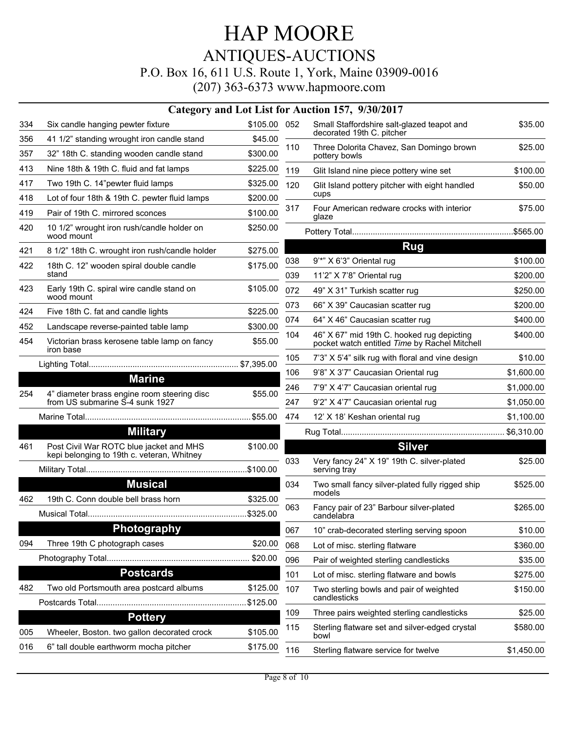|     |                                                                                       |              |     | Category and Lot List for Auction 157, 9/30/2017                                            |            |
|-----|---------------------------------------------------------------------------------------|--------------|-----|---------------------------------------------------------------------------------------------|------------|
| 334 | Six candle hanging pewter fixture                                                     | \$105.00 052 |     | Small Staffordshire salt-glazed teapot and                                                  | \$35.00    |
| 356 | 41 1/2" standing wrought iron candle stand                                            | \$45.00      |     | decorated 19th C. pitcher                                                                   |            |
| 357 | 32" 18th C. standing wooden candle stand                                              | \$300.00     | 110 | Three Dolorita Chavez, San Domingo brown<br>pottery bowls                                   | \$25.00    |
| 413 | Nine 18th & 19th C. fluid and fat lamps                                               | \$225.00     | 119 | Glit Island nine piece pottery wine set                                                     | \$100.00   |
| 417 | Two 19th C. 14"pewter fluid lamps                                                     | \$325.00     | 120 | Glit Island pottery pitcher with eight handled                                              | \$50.00    |
| 418 | Lot of four 18th & 19th C. pewter fluid lamps                                         | \$200.00     |     | cups                                                                                        |            |
| 419 | Pair of 19th C. mirrored sconces                                                      | \$100.00     | 317 | Four American redware crocks with interior<br>glaze                                         | \$75.00    |
| 420 | 10 1/2" wrought iron rush/candle holder on<br>wood mount                              | \$250.00     |     |                                                                                             |            |
| 421 | 8 1/2" 18th C. wrought iron rush/candle holder                                        | \$275.00     |     | <b>Rug</b>                                                                                  |            |
| 422 | 18th C. 12" wooden spiral double candle                                               | \$175.00     | 038 | 9"*" X 6'3" Oriental rug                                                                    | \$100.00   |
|     | stand                                                                                 |              | 039 | 11'2" X 7'8" Oriental rug                                                                   | \$200.00   |
| 423 | Early 19th C. spiral wire candle stand on<br>wood mount                               | \$105.00     | 072 | 49" X 31" Turkish scatter rug                                                               | \$250.00   |
| 424 | Five 18th C. fat and candle lights                                                    | \$225.00     | 073 | 66" X 39" Caucasian scatter rug                                                             | \$200.00   |
| 452 | Landscape reverse-painted table lamp                                                  | \$300.00     | 074 | 64" X 46" Caucasian scatter rug                                                             | \$400.00   |
| 454 | Victorian brass kerosene table lamp on fancy<br>iron base                             | \$55.00      | 104 | 46" X 67" mid 19th C. hooked rug depicting<br>pocket watch entitled Time by Rachel Mitchell | \$400.00   |
|     |                                                                                       |              | 105 | 7'3" X 5'4" silk rug with floral and vine design                                            | \$10.00    |
|     | <b>Marine</b>                                                                         |              | 106 | 9'8" X 3'7" Caucasian Oriental rug                                                          | \$1,600.00 |
|     | 4" diameter brass engine room steering disc                                           | \$55.00      | 246 | 7'9" X 4'7" Caucasian oriental rug                                                          | \$1,000.00 |
| 254 | from US submarine S-4 sunk 1927                                                       |              | 247 | 9'2" X 4'7" Caucasian oriental rug                                                          | \$1,050.00 |
|     |                                                                                       |              | 474 | 12' X 18' Keshan oriental rug                                                               | \$1,100.00 |
|     | <b>Military</b>                                                                       |              |     |                                                                                             |            |
| 461 | Post Civil War ROTC blue jacket and MHS<br>kepi belonging to 19th c. veteran, Whitney | \$100.00     | 033 | <b>Silver</b><br>Very fancy 24" X 19" 19th C. silver-plated                                 |            |
|     |                                                                                       | \$100.00     |     | serving tray                                                                                | \$25.00    |
|     | <b>Musical</b>                                                                        |              | 034 | Two small fancy silver-plated fully rigged ship<br>models                                   | \$525.00   |
| 462 | 19th C. Conn double bell brass horn                                                   | \$325.00     | 063 | Fancy pair of 23" Barbour silver-plated<br>candelabra                                       | \$265.00   |
|     | <b>Photography</b>                                                                    |              | 067 | 10" crab-decorated sterling serving spoon                                                   | \$10.00    |
| 094 | Three 19th C photograph cases                                                         | \$20.00      | 068 | Lot of misc. sterling flatware                                                              | \$360.00   |
|     |                                                                                       | \$20.00      | 096 | Pair of weighted sterling candlesticks                                                      | \$35.00    |
|     | <b>Postcards</b>                                                                      |              | 101 | Lot of misc. sterling flatware and bowls                                                    | \$275.00   |
| 482 | Two old Portsmouth area postcard albums                                               | \$125.00     | 107 | Two sterling bowls and pair of weighted<br>candlesticks                                     | \$150.00   |
|     |                                                                                       | \$125.00     | 109 | Three pairs weighted sterling candlesticks                                                  | \$25.00    |
| 005 | <b>Pottery</b><br>Wheeler, Boston. two gallon decorated crock                         | \$105.00     | 115 | Sterling flatware set and silver-edged crystal<br>bowl                                      | \$580.00   |
| 016 | 6" tall double earthworm mocha pitcher                                                | \$175.00     | 116 | Sterling flatware service for twelve                                                        | \$1,450.00 |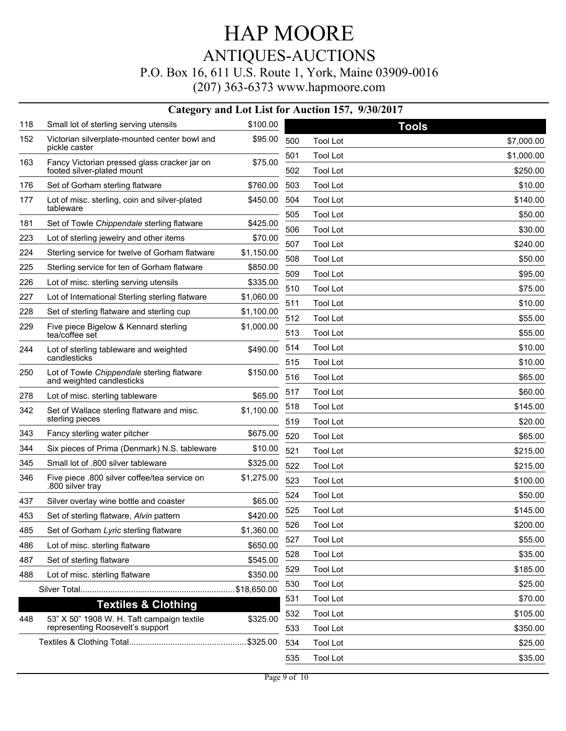|     | Category and Lot List for Auction 157, 9/30/2017                        |             |            |                                    |                    |  |  |
|-----|-------------------------------------------------------------------------|-------------|------------|------------------------------------|--------------------|--|--|
| 118 | Small lot of sterling serving utensils                                  | \$100.00    |            |                                    | <b>Tools</b>       |  |  |
| 152 | Victorian silverplate-mounted center bowl and<br>pickle caster          | \$95.00     | 500        | <b>Tool Lot</b>                    | \$7,000.00         |  |  |
| 163 | Fancy Victorian pressed glass cracker jar on                            | \$75.00     | 501        | <b>Tool Lot</b>                    | \$1,000.00         |  |  |
|     | footed silver-plated mount                                              |             | 502        | <b>Tool Lot</b>                    | \$250.00           |  |  |
| 176 | Set of Gorham sterling flatware                                         | \$760.00    | 503        | <b>Tool Lot</b>                    | \$10.00            |  |  |
| 177 | Lot of misc. sterling, coin and silver-plated<br>tableware              | \$450.00    | 504        | <b>Tool Lot</b>                    | \$140.00           |  |  |
| 181 | Set of Towle Chippendale sterling flatware                              | \$425.00    | 505        | <b>Tool Lot</b>                    | \$50.00            |  |  |
| 223 | Lot of sterling jewelry and other items                                 | \$70.00     | 506        | <b>Tool Lot</b>                    | \$30.00            |  |  |
| 224 | Sterling service for twelve of Gorham flatware                          | \$1,150.00  | 507        | <b>Tool Lot</b>                    | \$240.00           |  |  |
| 225 | Sterling service for ten of Gorham flatware                             | \$850.00    | 508        | <b>Tool Lot</b>                    | \$50.00            |  |  |
| 226 | Lot of misc. sterling serving utensils                                  | \$335.00    | 509        | <b>Tool Lot</b>                    | \$95.00            |  |  |
| 227 | Lot of International Sterling sterling flatware                         | \$1,060.00  | 510        | <b>Tool Lot</b>                    | \$75.00            |  |  |
| 228 | Set of sterling flatware and sterling cup                               | \$1,100.00  | 511        | <b>Tool Lot</b>                    | \$10.00            |  |  |
| 229 | Five piece Bigelow & Kennard sterling<br>tea/coffee set                 | \$1,000.00  | 512<br>513 | <b>Tool Lot</b><br><b>Tool Lot</b> | \$55.00<br>\$55.00 |  |  |
| 244 | Lot of sterling tableware and weighted                                  | \$490.00    | 514        | <b>Tool Lot</b>                    | \$10.00            |  |  |
|     | candlesticks                                                            |             | 515        | <b>Tool Lot</b>                    | \$10.00            |  |  |
| 250 | Lot of Towle Chippendale sterling flatware<br>and weighted candlesticks | \$150.00    | 516        | <b>Tool Lot</b>                    | \$65.00            |  |  |
| 278 | Lot of misc. sterling tableware                                         | \$65.00     | 517        | <b>Tool Lot</b>                    | \$60.00            |  |  |
| 342 | Set of Wallace sterling flatware and misc.                              | \$1,100.00  | 518        | <b>Tool Lot</b>                    | \$145.00           |  |  |
|     | sterling pieces                                                         |             | 519        | <b>Tool Lot</b>                    | \$20.00            |  |  |
| 343 | Fancy sterling water pitcher                                            | \$675.00    | 520        | <b>Tool Lot</b>                    | \$65.00            |  |  |
| 344 | Six pieces of Prima (Denmark) N.S. tableware                            | \$10.00     | 521        | <b>Tool Lot</b>                    | \$215.00           |  |  |
| 345 | Small lot of .800 silver tableware                                      | \$325.00    | 522        | <b>Tool Lot</b>                    | \$215.00           |  |  |
| 346 | Five piece .800 silver coffee/tea service on<br>.800 silver tray        | \$1,275.00  | 523        | <b>Tool Lot</b>                    | \$100.00           |  |  |
| 437 | Silver overlay wine bottle and coaster                                  | \$65.00     | 524        | <b>Tool Lot</b>                    | \$50.00            |  |  |
| 453 | Set of sterling flatware, Alvin pattern                                 | \$420.00    | 525        | <b>Tool Lot</b>                    | \$145.00           |  |  |
| 485 | Set of Gorham Lyric sterling flatware                                   | \$1,360.00  | 526        | <b>Tool Lot</b>                    | \$200.00           |  |  |
| 486 | Lot of misc. sterling flatware                                          | \$650.00    | 527        | <b>Tool Lot</b>                    | \$55.00            |  |  |
| 487 | Set of sterling flatware                                                | \$545.00    | 528        | <b>Tool Lot</b>                    | \$35.00            |  |  |
| 488 | Lot of misc. sterling flatware                                          | \$350.00    | 529        | <b>Tool Lot</b>                    | \$185.00           |  |  |
|     |                                                                         | \$18,650.00 | 530        | <b>Tool Lot</b>                    | \$25.00            |  |  |
|     | <b>Textiles &amp; Clothing</b>                                          |             | 531        | <b>Tool Lot</b>                    | \$70.00            |  |  |
| 448 | 53" X 50" 1908 W. H. Taft campaign textile                              | \$325.00    | 532        | <b>Tool Lot</b>                    | \$105.00           |  |  |
|     | representing Roosevelt's support                                        |             | 533        | <b>Tool Lot</b>                    | \$350.00           |  |  |
|     |                                                                         |             | 534        | <b>Tool Lot</b>                    | \$25.00            |  |  |
|     |                                                                         |             | 535        | <b>Tool Lot</b>                    | \$35.00            |  |  |